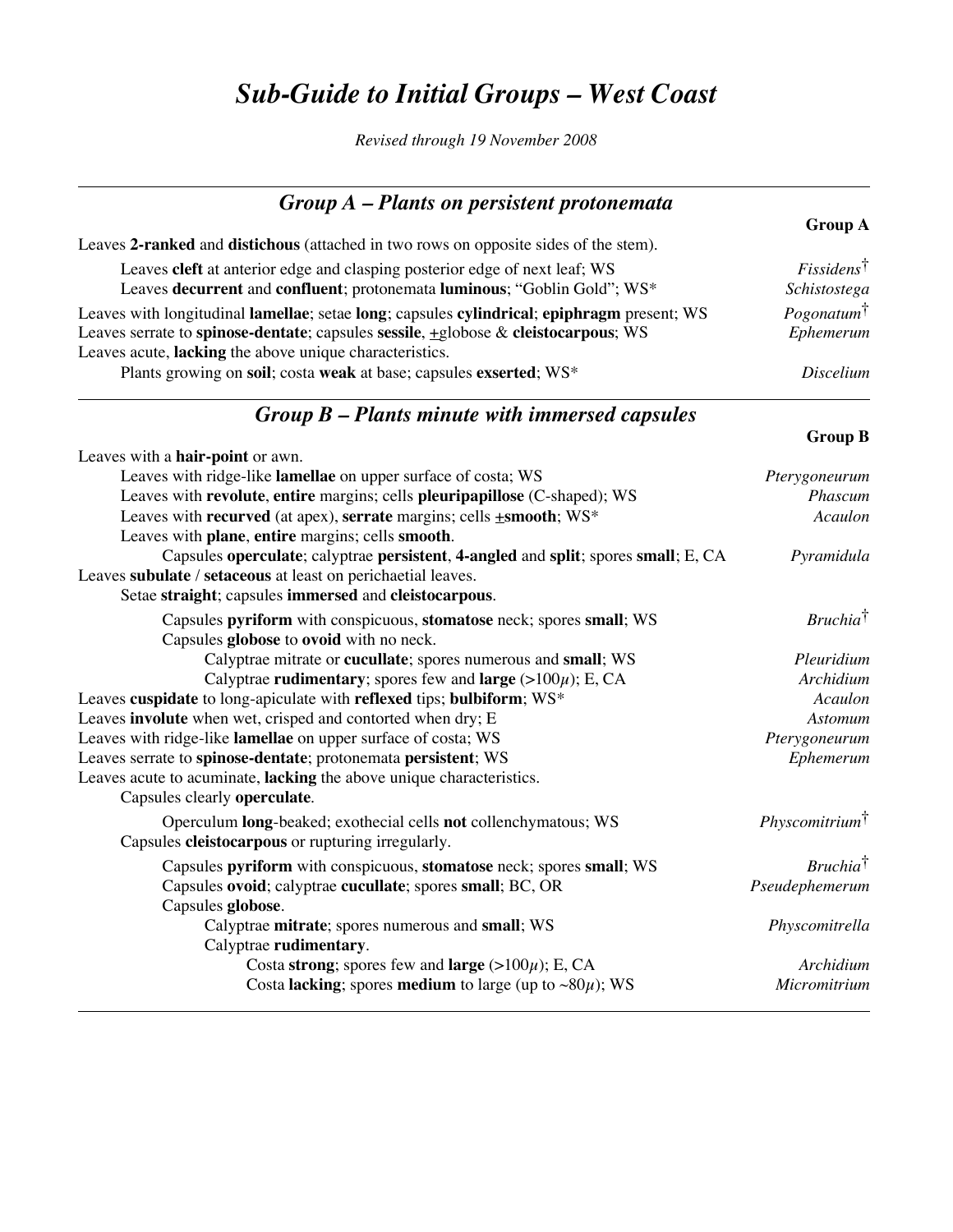## *Sub-Guide to Initial Groups – West Coast*

*Revised through 19 November 2008*

| $Group A$ – Plants on persistent protonemata                                                                                                                                                                                                     |                                                  |
|--------------------------------------------------------------------------------------------------------------------------------------------------------------------------------------------------------------------------------------------------|--------------------------------------------------|
|                                                                                                                                                                                                                                                  | <b>Group A</b>                                   |
| Leaves 2-ranked and distichous (attached in two rows on opposite sides of the stem).                                                                                                                                                             |                                                  |
| Leaves cleft at anterior edge and clasping posterior edge of next leaf; WS<br>Leaves decurrent and confluent; protonemata luminous; "Goblin Gold"; WS*                                                                                           | $F$ <i>issidens</i> <sup>†</sup><br>Schistostega |
| Leaves with longitudinal lamellae; setae long; capsules cylindrical; epiphragm present; WS<br>Leaves serrate to spinose-dentate; capsules sessile, $\pm$ globose & cleistocarpous; WS<br>Leaves acute, lacking the above unique characteristics. | $Pogonatum$ <sup>†</sup><br>Ephemerum            |
| Plants growing on soil; costa weak at base; capsules exserted; WS*                                                                                                                                                                               | Discelium                                        |
| $Group B-Plants minute with immersed capsules$                                                                                                                                                                                                   |                                                  |
|                                                                                                                                                                                                                                                  | <b>Group B</b>                                   |
| Leaves with a hair-point or awn.                                                                                                                                                                                                                 |                                                  |
| Leaves with ridge-like lamellae on upper surface of costa; WS                                                                                                                                                                                    | Pterygoneurum                                    |
| Leaves with revolute, entire margins; cells pleuripapillose (C-shaped); WS                                                                                                                                                                       | Phascum                                          |
| Leaves with recurved (at apex), serrate margins; cells <b>+smooth</b> ; WS*                                                                                                                                                                      | Acaulon                                          |
| Leaves with plane, entire margins; cells smooth.                                                                                                                                                                                                 |                                                  |
| Capsules operculate; calyptrae persistent, 4-angled and split; spores small; E, CA<br>Leaves subulate / setaceous at least on perichaetial leaves.<br>Setae straight; capsules immersed and cleistocarpous.                                      | Pyramidula                                       |

| Detae sei aigne, capsules minierseu and ciclotocal pous.                       |                           |
|--------------------------------------------------------------------------------|---------------------------|
| Capsules pyriform with conspicuous, stomatose neck; spores small; WS           | $Bruchia^{\dagger}$       |
| Capsules globose to ovoid with no neck.                                        |                           |
| Calyptrae mitrate or cucullate; spores numerous and small; WS                  | Pleuridium                |
| Calyptrae rudimentary; spores few and large $(>100\mu)$ ; E, CA                | Archidium                 |
| Leaves cuspidate to long-apiculate with reflexed tips; bulbiform; WS*          | Acaulon                   |
| Leaves involute when wet, crisped and contorted when dry; E                    | Astomum                   |
| Leaves with ridge-like lamellae on upper surface of costa; WS                  | Pterygoneurum             |
| Leaves serrate to spinose-dentate; protonemata persistent; WS                  | Ephemerum                 |
| Leaves acute to acuminate, lacking the above unique characteristics.           |                           |
| Capsules clearly operculate.                                                   |                           |
| Operculum <b>long</b> -beaked; exothecial cells <b>not</b> collenchymatous; WS | $Physcomitrium^{\dagger}$ |
| Capsules cleistocarpous or rupturing irregularly.                              |                           |
| Capsules pyriform with conspicuous, stomatose neck; spores small; WS           | $Bruchia^{\dagger}$       |
| Capsules ovoid; calyptrae cucullate; spores small; BC, OR                      | Pseudephemerum            |
| Capsules globose.                                                              |                           |
| Calyptrae mitrate; spores numerous and small; WS                               | Physcomitrella            |
| Calyptrae rudimentary.                                                         |                           |
| Costa strong; spores few and large $(>100\mu)$ ; E, CA                         | Archidium                 |
| Costa lacking; spores medium to large (up to $\sim 80\mu$ ); WS                | Micromitrium              |